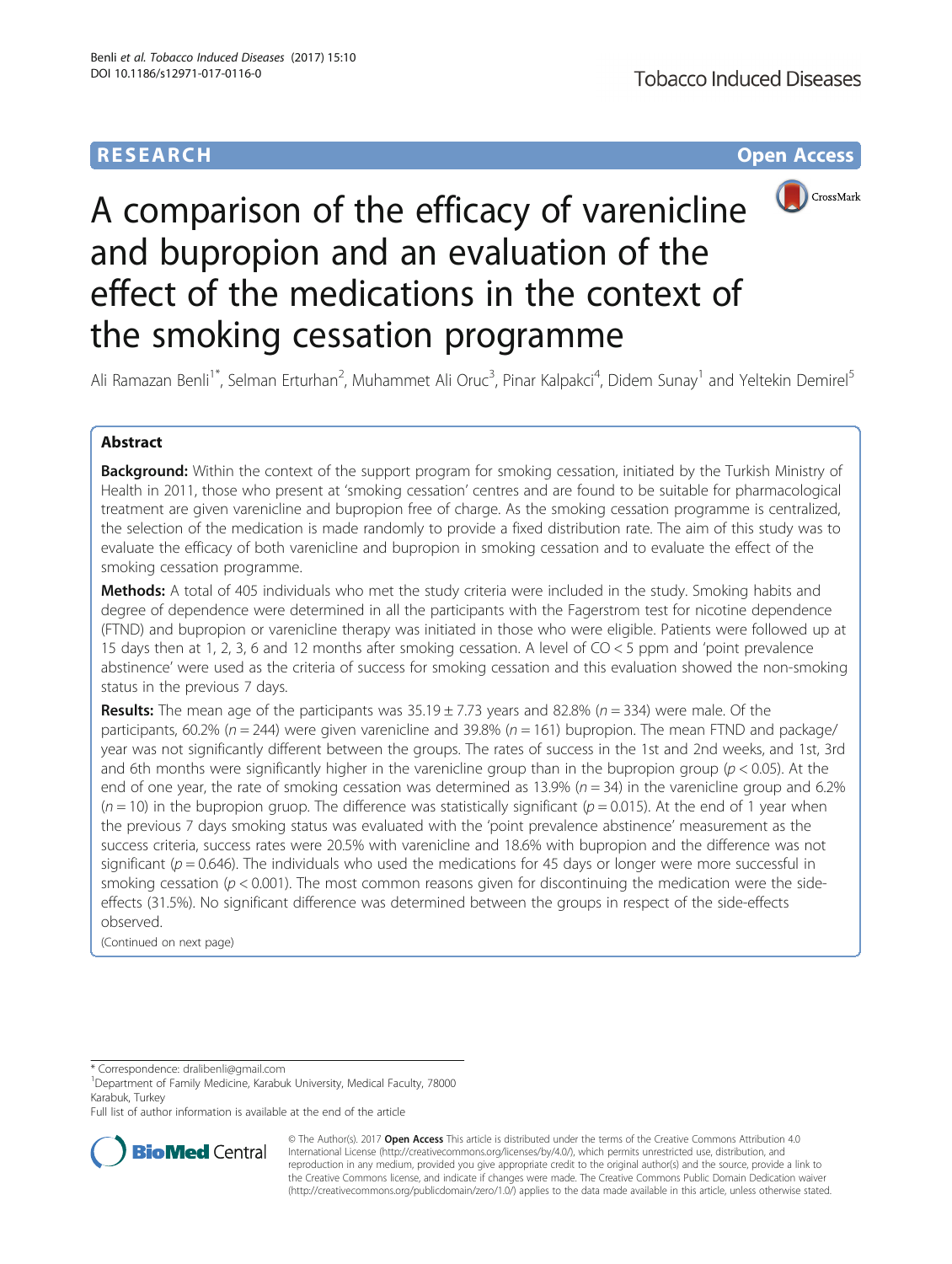## **RESEARCH CHE Open Access**



# A comparison of the efficacy of varenicline and bupropion and an evaluation of the effect of the medications in the context of the smoking cessation programme

Ali Ramazan Benli<sup>1\*</sup>, Selman Erturhan<sup>2</sup>, Muhammet Ali Oruc<sup>3</sup>, Pinar Kalpakci<sup>4</sup>, Didem Sunay<sup>1</sup> and Yeltekin Demirel<sup>5</sup>

## Abstract

Background: Within the context of the support program for smoking cessation, initiated by the Turkish Ministry of Health in 2011, those who present at 'smoking cessation' centres and are found to be suitable for pharmacological treatment are given varenicline and bupropion free of charge. As the smoking cessation programme is centralized, the selection of the medication is made randomly to provide a fixed distribution rate. The aim of this study was to evaluate the efficacy of both varenicline and bupropion in smoking cessation and to evaluate the effect of the smoking cessation programme.

Methods: A total of 405 individuals who met the study criteria were included in the study. Smoking habits and degree of dependence were determined in all the participants with the Fagerstrom test for nicotine dependence (FTND) and bupropion or varenicline therapy was initiated in those who were eligible. Patients were followed up at 15 days then at 1, 2, 3, 6 and 12 months after smoking cessation. A level of CO < 5 ppm and 'point prevalence abstinence' were used as the criteria of success for smoking cessation and this evaluation showed the non-smoking status in the previous 7 days.

**Results:** The mean age of the participants was  $35.19 \pm 7.73$  years and  $82.8\%$  ( $n = 334$ ) were male. Of the participants, 60.2% ( $n = 244$ ) were given varenicline and 39.8% ( $n = 161$ ) bupropion. The mean FTND and package/ year was not significantly different between the groups. The rates of success in the 1st and 2nd weeks, and 1st, 3rd and 6th months were significantly higher in the varenicline group than in the bupropion group ( $p < 0.05$ ). At the end of one year, the rate of smoking cessation was determined as 13.9% ( $n = 34$ ) in the varenicline group and 6.2%  $(n = 10)$  in the bupropion gruop. The difference was statistically significant ( $p = 0.015$ ). At the end of 1 year when the previous 7 days smoking status was evaluated with the 'point prevalence abstinence' measurement as the success criteria, success rates were 20.5% with varenicline and 18.6% with bupropion and the difference was not significant ( $p = 0.646$ ). The individuals who used the medications for 45 days or longer were more successful in smoking cessation ( $p < 0.001$ ). The most common reasons given for discontinuing the medication were the sideeffects (31.5%). No significant difference was determined between the groups in respect of the side-effects observed.

(Continued on next page)

\* Correspondence: [dralibenli@gmail.com](mailto:dralibenli@gmail.com) <sup>1</sup>

Department of Family Medicine, Karabuk University, Medical Faculty, 78000 Karabuk, Turkey

Full list of author information is available at the end of the article



© The Author(s). 2017 **Open Access** This article is distributed under the terms of the Creative Commons Attribution 4.0 International License [\(http://creativecommons.org/licenses/by/4.0/](http://creativecommons.org/licenses/by/4.0/)), which permits unrestricted use, distribution, and reproduction in any medium, provided you give appropriate credit to the original author(s) and the source, provide a link to the Creative Commons license, and indicate if changes were made. The Creative Commons Public Domain Dedication waiver [\(http://creativecommons.org/publicdomain/zero/1.0/](http://creativecommons.org/publicdomain/zero/1.0/)) applies to the data made available in this article, unless otherwise stated.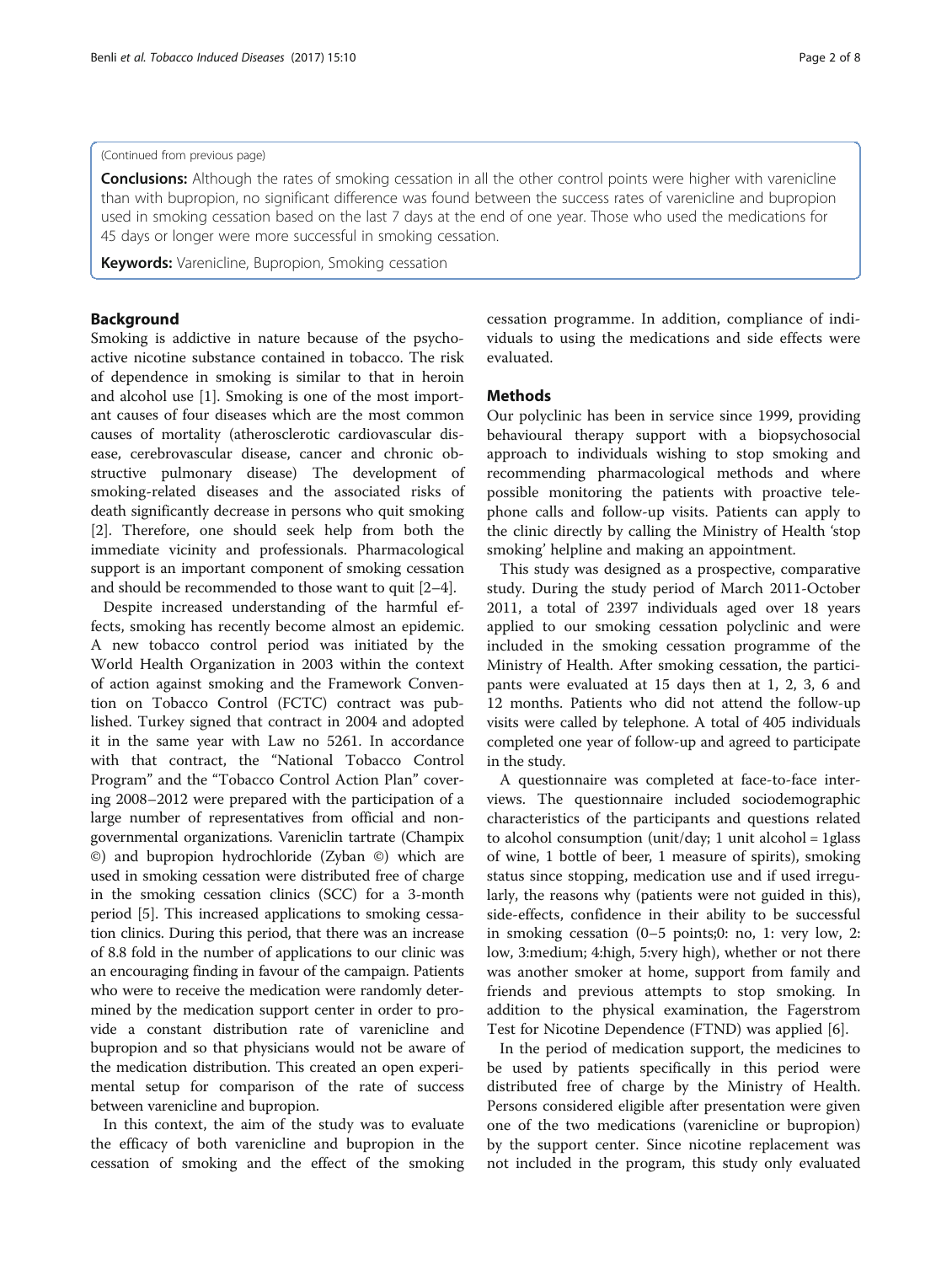## (Continued from previous page)

Conclusions: Although the rates of smoking cessation in all the other control points were higher with varenicline than with bupropion, no significant difference was found between the success rates of varenicline and bupropion used in smoking cessation based on the last 7 days at the end of one year. Those who used the medications for 45 days or longer were more successful in smoking cessation.

**Keywords:** Varenicline, Bupropion, Smoking cessation

## Background

Smoking is addictive in nature because of the psychoactive nicotine substance contained in tobacco. The risk of dependence in smoking is similar to that in heroin and alcohol use [[1\]](#page-6-0). Smoking is one of the most important causes of four diseases which are the most common causes of mortality (atherosclerotic cardiovascular disease, cerebrovascular disease, cancer and chronic obstructive pulmonary disease) The development of smoking-related diseases and the associated risks of death significantly decrease in persons who quit smoking [[2\]](#page-6-0). Therefore, one should seek help from both the immediate vicinity and professionals. Pharmacological support is an important component of smoking cessation and should be recommended to those want to quit [\[2](#page-6-0)–[4\]](#page-7-0).

Despite increased understanding of the harmful effects, smoking has recently become almost an epidemic. A new tobacco control period was initiated by the World Health Organization in 2003 within the context of action against smoking and the Framework Convention on Tobacco Control (FCTC) contract was published. Turkey signed that contract in 2004 and adopted it in the same year with Law no 5261. In accordance with that contract, the "National Tobacco Control Program" and the "Tobacco Control Action Plan" covering 2008–2012 were prepared with the participation of a large number of representatives from official and nongovernmental organizations. Vareniclin tartrate (Champix ©) and bupropion hydrochloride (Zyban ©) which are used in smoking cessation were distributed free of charge in the smoking cessation clinics (SCC) for a 3-month period [\[5\]](#page-7-0). This increased applications to smoking cessation clinics. During this period, that there was an increase of 8.8 fold in the number of applications to our clinic was an encouraging finding in favour of the campaign. Patients who were to receive the medication were randomly determined by the medication support center in order to provide a constant distribution rate of varenicline and bupropion and so that physicians would not be aware of the medication distribution. This created an open experimental setup for comparison of the rate of success between varenicline and bupropion.

In this context, the aim of the study was to evaluate the efficacy of both varenicline and bupropion in the cessation of smoking and the effect of the smoking cessation programme. In addition, compliance of individuals to using the medications and side effects were evaluated.

## **Methods**

Our polyclinic has been in service since 1999, providing behavioural therapy support with a biopsychosocial approach to individuals wishing to stop smoking and recommending pharmacological methods and where possible monitoring the patients with proactive telephone calls and follow-up visits. Patients can apply to the clinic directly by calling the Ministry of Health 'stop smoking' helpline and making an appointment.

This study was designed as a prospective, comparative study. During the study period of March 2011-October 2011, a total of 2397 individuals aged over 18 years applied to our smoking cessation polyclinic and were included in the smoking cessation programme of the Ministry of Health. After smoking cessation, the participants were evaluated at 15 days then at 1, 2, 3, 6 and 12 months. Patients who did not attend the follow-up visits were called by telephone. A total of 405 individuals completed one year of follow-up and agreed to participate in the study.

A questionnaire was completed at face-to-face interviews. The questionnaire included sociodemographic characteristics of the participants and questions related to alcohol consumption (unit/day; 1 unit alcohol = 1glass of wine, 1 bottle of beer, 1 measure of spirits), smoking status since stopping, medication use and if used irregularly, the reasons why (patients were not guided in this), side-effects, confidence in their ability to be successful in smoking cessation (0–5 points;0: no, 1: very low, 2: low, 3:medium; 4:high, 5:very high), whether or not there was another smoker at home, support from family and friends and previous attempts to stop smoking. In addition to the physical examination, the Fagerstrom Test for Nicotine Dependence (FTND) was applied [[6\]](#page-7-0).

In the period of medication support, the medicines to be used by patients specifically in this period were distributed free of charge by the Ministry of Health. Persons considered eligible after presentation were given one of the two medications (varenicline or bupropion) by the support center. Since nicotine replacement was not included in the program, this study only evaluated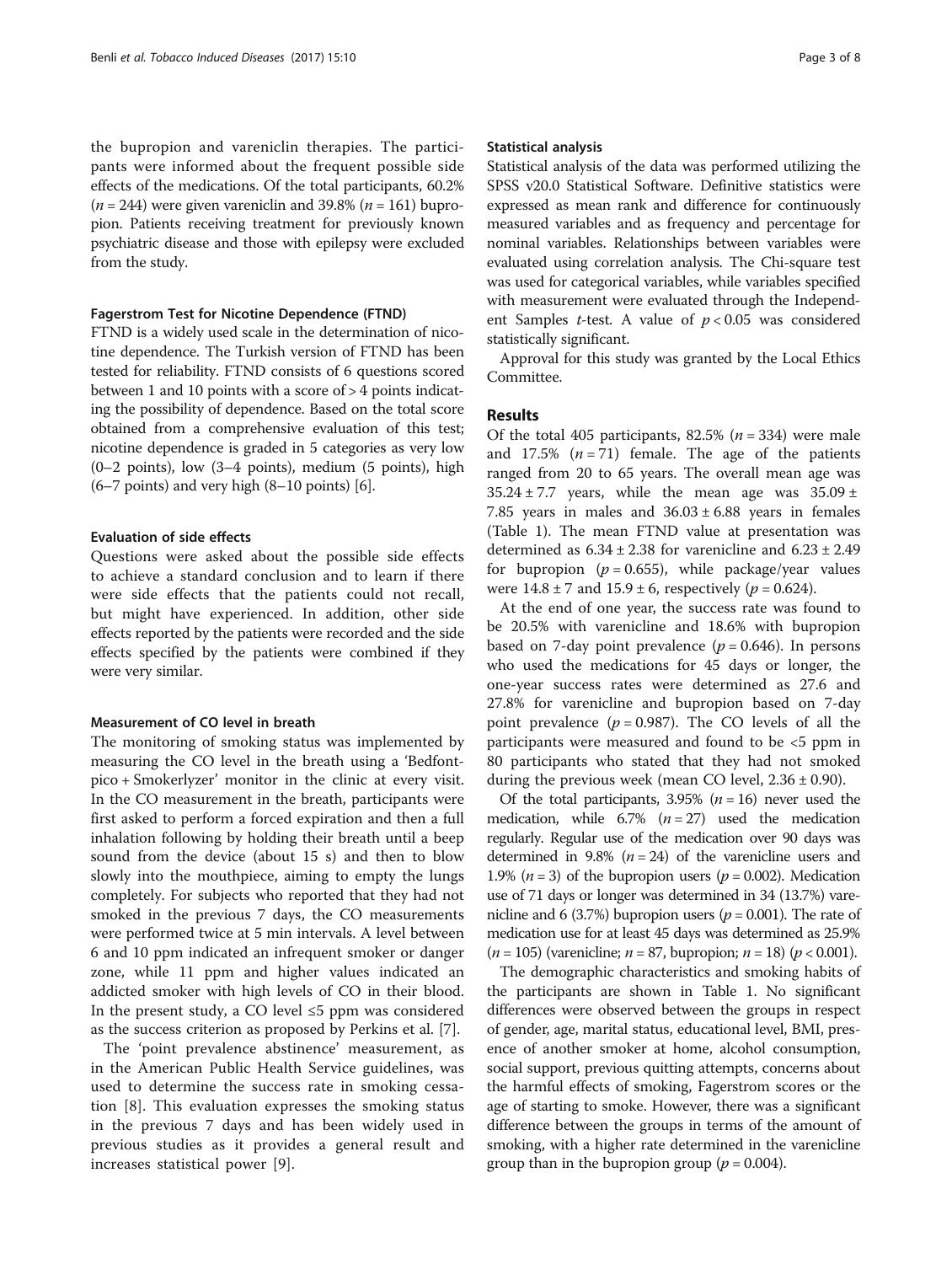the bupropion and vareniclin therapies. The participants were informed about the frequent possible side effects of the medications. Of the total participants, 60.2%  $(n = 244)$  were given vareniclin and 39.8%  $(n = 161)$  bupropion. Patients receiving treatment for previously known psychiatric disease and those with epilepsy were excluded from the study.

### Fagerstrom Test for Nicotine Dependence (FTND)

FTND is a widely used scale in the determination of nicotine dependence. The Turkish version of FTND has been tested for reliability. FTND consists of 6 questions scored between 1 and 10 points with a score of > 4 points indicating the possibility of dependence. Based on the total score obtained from a comprehensive evaluation of this test; nicotine dependence is graded in 5 categories as very low  $(0-2 \text{ points})$ , low  $(3-4 \text{ points})$ , medium  $(5 \text{ points})$ , high (6–7 points) and very high (8–10 points) [[6\]](#page-7-0).

## Evaluation of side effects

Questions were asked about the possible side effects to achieve a standard conclusion and to learn if there were side effects that the patients could not recall, but might have experienced. In addition, other side effects reported by the patients were recorded and the side effects specified by the patients were combined if they were very similar.

## Measurement of CO level in breath

The monitoring of smoking status was implemented by measuring the CO level in the breath using a 'Bedfontpico + Smokerlyzer' monitor in the clinic at every visit. In the CO measurement in the breath, participants were first asked to perform a forced expiration and then a full inhalation following by holding their breath until a beep sound from the device (about 15 s) and then to blow slowly into the mouthpiece, aiming to empty the lungs completely. For subjects who reported that they had not smoked in the previous 7 days, the CO measurements were performed twice at 5 min intervals. A level between 6 and 10 ppm indicated an infrequent smoker or danger zone, while 11 ppm and higher values indicated an addicted smoker with high levels of CO in their blood. In the present study, a CO level  $\leq$ 5 ppm was considered as the success criterion as proposed by Perkins et al. [[7\]](#page-7-0).

The 'point prevalence abstinence' measurement, as in the American Public Health Service guidelines, was used to determine the success rate in smoking cessation [[8\]](#page-7-0). This evaluation expresses the smoking status in the previous 7 days and has been widely used in previous studies as it provides a general result and increases statistical power [[9](#page-7-0)].

## Statistical analysis

Statistical analysis of the data was performed utilizing the SPSS v20.0 Statistical Software. Definitive statistics were expressed as mean rank and difference for continuously measured variables and as frequency and percentage for nominal variables. Relationships between variables were evaluated using correlation analysis. The Chi-square test was used for categorical variables, while variables specified with measurement were evaluated through the Independent Samples *t*-test. A value of  $p < 0.05$  was considered statistically significant.

Approval for this study was granted by the Local Ethics Committee.

## Results

Of the total 405 participants, 82.5% ( $n = 334$ ) were male and 17.5%  $(n = 71)$  female. The age of the patients ranged from 20 to 65 years. The overall mean age was  $35.24 \pm 7.7$  years, while the mean age was  $35.09 \pm 7.7$ 7.85 years in males and  $36.03 \pm 6.88$  years in females (Table [1\)](#page-3-0). The mean FTND value at presentation was determined as  $6.34 \pm 2.38$  for varenicline and  $6.23 \pm 2.49$ for bupropion ( $p = 0.655$ ), while package/year values were  $14.8 \pm 7$  and  $15.9 \pm 6$ , respectively ( $p = 0.624$ ).

At the end of one year, the success rate was found to be 20.5% with varenicline and 18.6% with bupropion based on 7-day point prevalence ( $p = 0.646$ ). In persons who used the medications for 45 days or longer, the one-year success rates were determined as 27.6 and 27.8% for varenicline and bupropion based on 7-day point prevalence ( $p = 0.987$ ). The CO levels of all the participants were measured and found to be <5 ppm in 80 participants who stated that they had not smoked during the previous week (mean CO level,  $2.36 \pm 0.90$ ).

Of the total participants, 3.95% ( $n = 16$ ) never used the medication, while  $6.7\%$   $(n = 27)$  used the medication regularly. Regular use of the medication over 90 days was determined in 9.8% ( $n = 24$ ) of the varenicline users and 1.9% ( $n = 3$ ) of the bupropion users ( $p = 0.002$ ). Medication use of 71 days or longer was determined in 34 (13.7%) varenicline and 6 (3.7%) bupropion users ( $p = 0.001$ ). The rate of medication use for at least 45 days was determined as 25.9%  $(n = 105)$  (varenicline;  $n = 87$ , bupropion;  $n = 18$ ) ( $p < 0.001$ ).

The demographic characteristics and smoking habits of the participants are shown in Table [1.](#page-3-0) No significant differences were observed between the groups in respect of gender, age, marital status, educational level, BMI, presence of another smoker at home, alcohol consumption, social support, previous quitting attempts, concerns about the harmful effects of smoking, Fagerstrom scores or the age of starting to smoke. However, there was a significant difference between the groups in terms of the amount of smoking, with a higher rate determined in the varenicline group than in the bupropion group ( $p = 0.004$ ).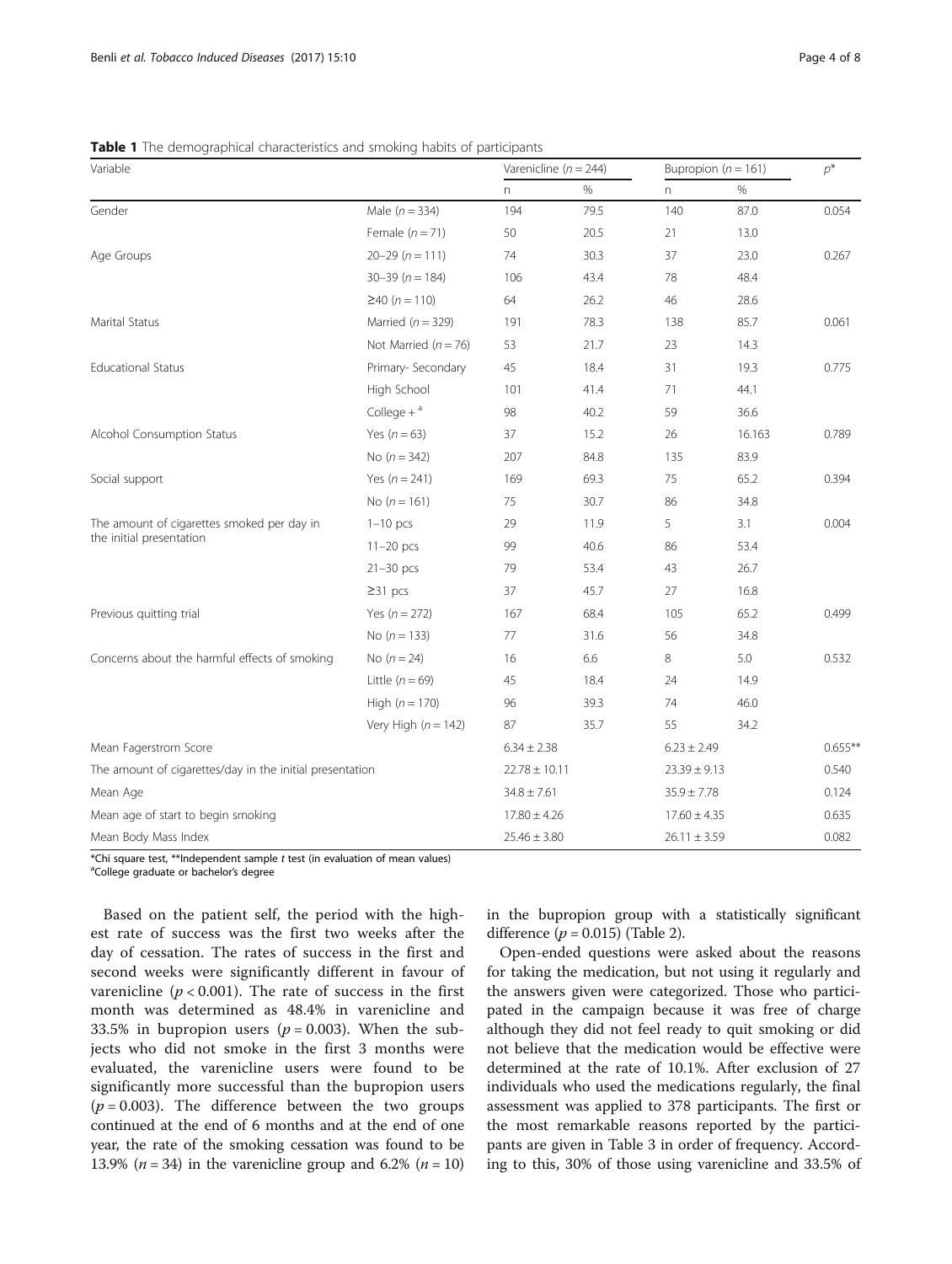<span id="page-3-0"></span>**Table 1** The demographical characteristics and smoking habits of participants

| Variable                                                 |                          | Varenicline ( $n = 244$ ) |      | Bupropion ( $n = 161$ ) |                  | $p^*$     |
|----------------------------------------------------------|--------------------------|---------------------------|------|-------------------------|------------------|-----------|
|                                                          |                          | n.                        | %    | n                       | %                |           |
| Gender                                                   | Male $(n = 334)$         | 194                       | 79.5 | 140                     | 87.0             | 0.054     |
|                                                          | Female $(n = 71)$        | 50                        | 20.5 | 21                      | 13.0             |           |
| Age Groups                                               | $20 - 29$ ( $n = 111$ )  | 74                        | 30.3 | 37                      | 23.0             | 0.267     |
|                                                          | $30 - 39$ ( $n = 184$ )  | 106                       | 43.4 | 78                      | 48.4             |           |
|                                                          | $≥40 (n = 110)$          | 64                        | 26.2 | 46                      | 28.6             |           |
| Marital Status                                           | Married ( $n = 329$ )    | 191                       | 78.3 | 138                     | 85.7             | 0.061     |
|                                                          | Not Married ( $n = 76$ ) | 53                        | 21.7 | 23                      | 14.3             |           |
| <b>Educational Status</b>                                | Primary- Secondary       | 45                        | 18.4 | 31                      | 19.3             | 0.775     |
|                                                          | High School              | 101                       | 41.4 | 71                      | 44.1             |           |
|                                                          | College + $a$            | 98                        | 40.2 | 59                      | 36.6             |           |
| Alcohol Consumption Status                               | Yes $(n=63)$             | 37                        | 15.2 | 26                      | 16.163           | 0.789     |
|                                                          | No $(n = 342)$           | 207                       | 84.8 | 135                     | 83.9             |           |
| Social support                                           | Yes $(n = 241)$          | 169                       | 69.3 | 75                      | 65.2             | 0.394     |
|                                                          | No $(n = 161)$           | 75                        | 30.7 | 86                      | 34.8             |           |
| The amount of cigarettes smoked per day in               | $1-10$ pcs               | 29                        | 11.9 | 5                       | 3.1              | 0.004     |
| the initial presentation                                 | $11-20$ pcs              | 99                        | 40.6 | 86                      | 53.4             |           |
|                                                          | $21 - 30$ pcs            | 79                        | 53.4 | 43                      | 26.7             |           |
|                                                          | $\geq$ 31 pcs            | 37                        | 45.7 | 27                      | 16.8             |           |
| Previous quitting trial                                  | Yes ( $n = 272$ )        | 167                       | 68.4 | 105                     | 65.2             | 0.499     |
|                                                          | No $(n = 133)$           | 77                        | 31.6 | 56                      | 34.8             |           |
| Concerns about the harmful effects of smoking            | No $(n = 24)$            | 16                        | 6.6  | 8                       | 5.0              | 0.532     |
|                                                          | Little $(n = 69)$        | 45                        | 18.4 | 24                      | 14.9             |           |
|                                                          | High $(n = 170)$         | 96                        | 39.3 | 74                      | 46.0             |           |
|                                                          | Very High ( $n = 142$ )  | 87                        | 35.7 | 55                      | 34.2             |           |
| Mean Fagerstrom Score                                    |                          | $6.34 \pm 2.38$           |      | $6.23 \pm 2.49$         |                  | $0.655**$ |
| The amount of cigarettes/day in the initial presentation |                          | $22.78 \pm 10.11$         |      |                         | $23.39 \pm 9.13$ |           |
| Mean Age                                                 |                          | $34.8 \pm 7.61$           |      |                         | $35.9 \pm 7.78$  |           |
| Mean age of start to begin smoking                       |                          | $17.80 \pm 4.26$          |      |                         | $17.60 \pm 4.35$ |           |
| Mean Body Mass Index                                     |                          | $25.46 \pm 3.80$          |      | $26.11 \pm 3.59$        |                  | 0.082     |

\*Chi square test, \*\*Independent sample <sup>t</sup> test (in evaluation of mean values) <sup>a</sup>

<sup>a</sup>College graduate or bachelor's degree

Based on the patient self, the period with the highest rate of success was the first two weeks after the day of cessation. The rates of success in the first and second weeks were significantly different in favour of varenicline ( $p < 0.001$ ). The rate of success in the first month was determined as 48.4% in varenicline and 33.5% in bupropion users ( $p = 0.003$ ). When the subjects who did not smoke in the first 3 months were evaluated, the varenicline users were found to be significantly more successful than the bupropion users  $(p = 0.003)$ . The difference between the two groups continued at the end of 6 months and at the end of one year, the rate of the smoking cessation was found to be 13.9% ( $n = 34$ ) in the varenicline group and 6.2% ( $n = 10$ )

in the bupropion group with a statistically significant difference  $(p = 0.015)$  (Table [2\)](#page-4-0).

Open-ended questions were asked about the reasons for taking the medication, but not using it regularly and the answers given were categorized. Those who participated in the campaign because it was free of charge although they did not feel ready to quit smoking or did not believe that the medication would be effective were determined at the rate of 10.1%. After exclusion of 27 individuals who used the medications regularly, the final assessment was applied to 378 participants. The first or the most remarkable reasons reported by the participants are given in Table [3](#page-4-0) in order of frequency. According to this, 30% of those using varenicline and 33.5% of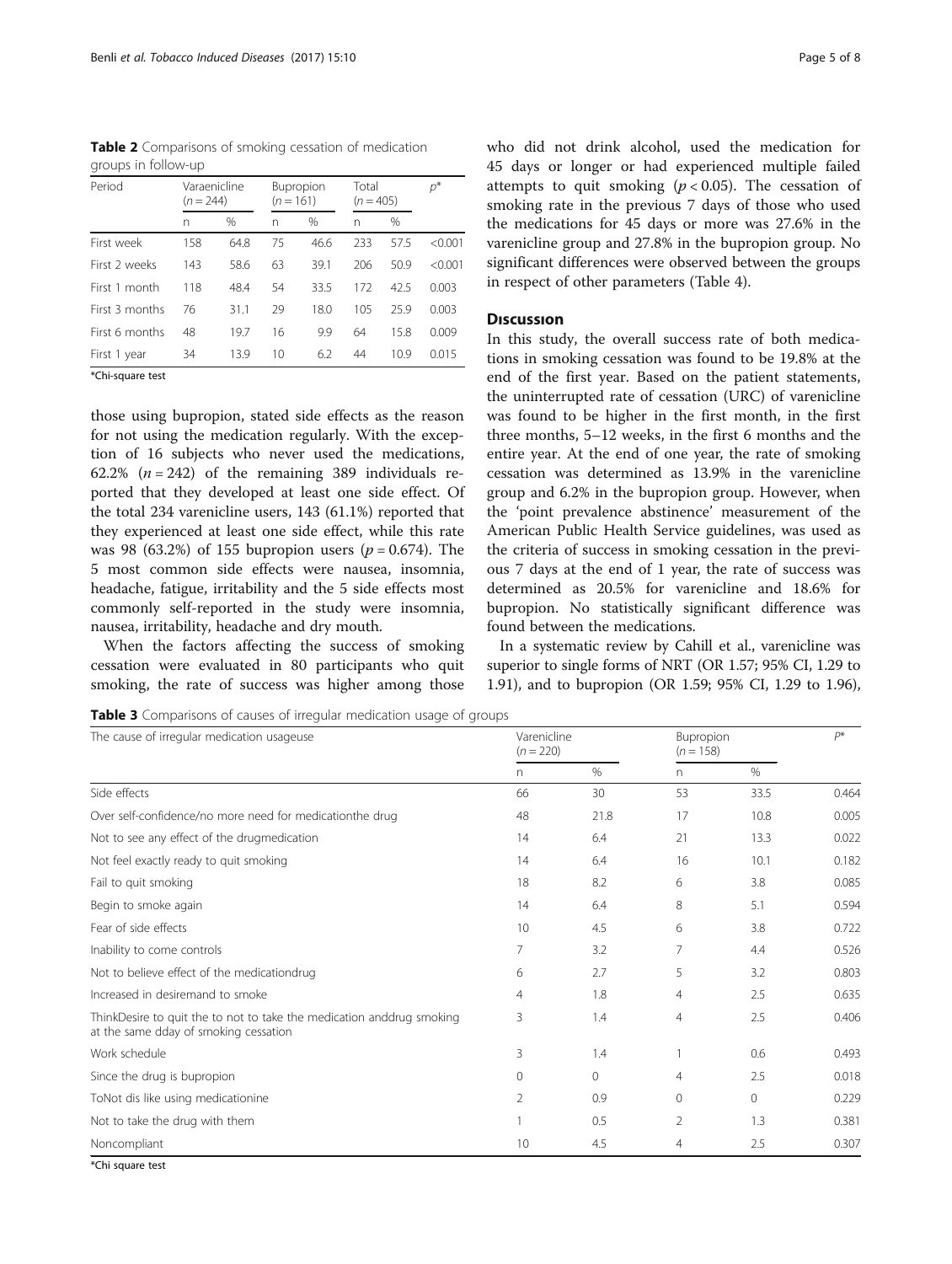<span id="page-4-0"></span>Table 2 Comparisons of smoking cessation of medication groups in follow-up

| Period         | $(n = 244)$ | Varaenicline<br>Bupropion<br>$(n = 161)$ |    | Total<br>$(n = 405)$ |     | $p^*$ |         |
|----------------|-------------|------------------------------------------|----|----------------------|-----|-------|---------|
|                | n           | $\%$                                     | n  | $\%$                 | n   | $\%$  |         |
| First week     | 158         | 64.8                                     | 75 | 46.6                 | 233 | 57.5  | < 0.001 |
| First 2 weeks  | 143         | 58.6                                     | 63 | 39.1                 | 206 | 50.9  | < 0.001 |
| First 1 month  | 118         | 48.4                                     | 54 | 33.5                 | 172 | 425   | 0.003   |
| First 3 months | 76          | 31.1                                     | 29 | 18.0                 | 105 | 25.9  | 0.003   |
| First 6 months | 48          | 19.7                                     | 16 | 9.9                  | 64  | 15.8  | 0.009   |
| First 1 year   | 34          | 13.9                                     | 10 | 6.2                  | 44  | 10.9  | 0015    |

\*Chi-square test

those using bupropion, stated side effects as the reason for not using the medication regularly. With the exception of 16 subjects who never used the medications, 62.2%  $(n = 242)$  of the remaining 389 individuals reported that they developed at least one side effect. Of the total 234 varenicline users, 143 (61.1%) reported that they experienced at least one side effect, while this rate was 98 (63.2%) of 155 bupropion users ( $p = 0.674$ ). The 5 most common side effects were nausea, insomnia, headache, fatigue, irritability and the 5 side effects most commonly self-reported in the study were insomnia, nausea, irritability, headache and dry mouth.

When the factors affecting the success of smoking cessation were evaluated in 80 participants who quit smoking, the rate of success was higher among those who did not drink alcohol, used the medication for 45 days or longer or had experienced multiple failed attempts to quit smoking  $(p < 0.05)$ . The cessation of smoking rate in the previous 7 days of those who used the medications for 45 days or more was 27.6% in the varenicline group and 27.8% in the bupropion group. No significant differences were observed between the groups in respect of other parameters (Table [4\)](#page-5-0).

## Dıscussıon

In this study, the overall success rate of both medications in smoking cessation was found to be 19.8% at the end of the first year. Based on the patient statements, the uninterrupted rate of cessation (URC) of varenicline was found to be higher in the first month, in the first three months, 5–12 weeks, in the first 6 months and the entire year. At the end of one year, the rate of smoking cessation was determined as 13.9% in the varenicline group and 6.2% in the bupropion group. However, when the 'point prevalence abstinence' measurement of the American Public Health Service guidelines, was used as the criteria of success in smoking cessation in the previous 7 days at the end of 1 year, the rate of success was determined as 20.5% for varenicline and 18.6% for bupropion. No statistically significant difference was found between the medications.

In a systematic review by Cahill et al., varenicline was superior to single forms of NRT (OR 1.57; 95% CI, 1.29 to 1.91), and to bupropion (OR 1.59; 95% CI, 1.29 to 1.96),

Table 3 Comparisons of causes of irregular medication usage of groups

| The cause of irregular medication usageuse                                                                     | Varenicline<br>$(n = 220)$ |          | Bupropion<br>$(n = 158)$ |          | $P^*$ |
|----------------------------------------------------------------------------------------------------------------|----------------------------|----------|--------------------------|----------|-------|
|                                                                                                                | n                          | $\%$     | n.                       | %        |       |
| Side effects                                                                                                   | 66                         | 30       | 53                       | 33.5     | 0.464 |
| Over self-confidence/no more need for medicationthe drug                                                       | 48                         | 21.8     | 17                       | 10.8     | 0.005 |
| Not to see any effect of the drugmedication                                                                    | 14                         | 6.4      | 21                       | 13.3     | 0.022 |
| Not feel exactly ready to quit smoking                                                                         | 14                         | 6.4      | 16                       | 10.1     | 0.182 |
| Fail to quit smoking                                                                                           | 18                         | 8.2      | 6                        | 3.8      | 0.085 |
| Begin to smoke again                                                                                           | 14                         | 6.4      | 8                        | 5.1      | 0.594 |
| Fear of side effects                                                                                           | 10                         | 4.5      | 6                        | 3.8      | 0.722 |
| Inability to come controls                                                                                     | 7                          | 3.2      | 7                        | 4.4      | 0.526 |
| Not to believe effect of the medicationdrug                                                                    | 6                          | 2.7      | 5                        | 3.2      | 0.803 |
| Increased in desiremand to smoke                                                                               | 4                          | 1.8      | 4                        | 2.5      | 0.635 |
| ThinkDesire to quit the to not to take the medication anddrug smoking<br>at the same dday of smoking cessation | 3                          | 1.4      | 4                        | 2.5      | 0.406 |
| Work schedule                                                                                                  | 3                          | 1.4      |                          | 0.6      | 0.493 |
| Since the drug is bupropion                                                                                    | $\Omega$                   | $\Omega$ | 4                        | 2.5      | 0.018 |
| ToNot dis like using medicationine                                                                             | 2                          | 0.9      | 0                        | $\Omega$ | 0.229 |
| Not to take the drug with them                                                                                 |                            | 0.5      | $\mathfrak{D}$           | 1.3      | 0.381 |
| Noncompliant                                                                                                   | 10                         | 4.5      | 4                        | 2.5      | 0.307 |

\*Chi square test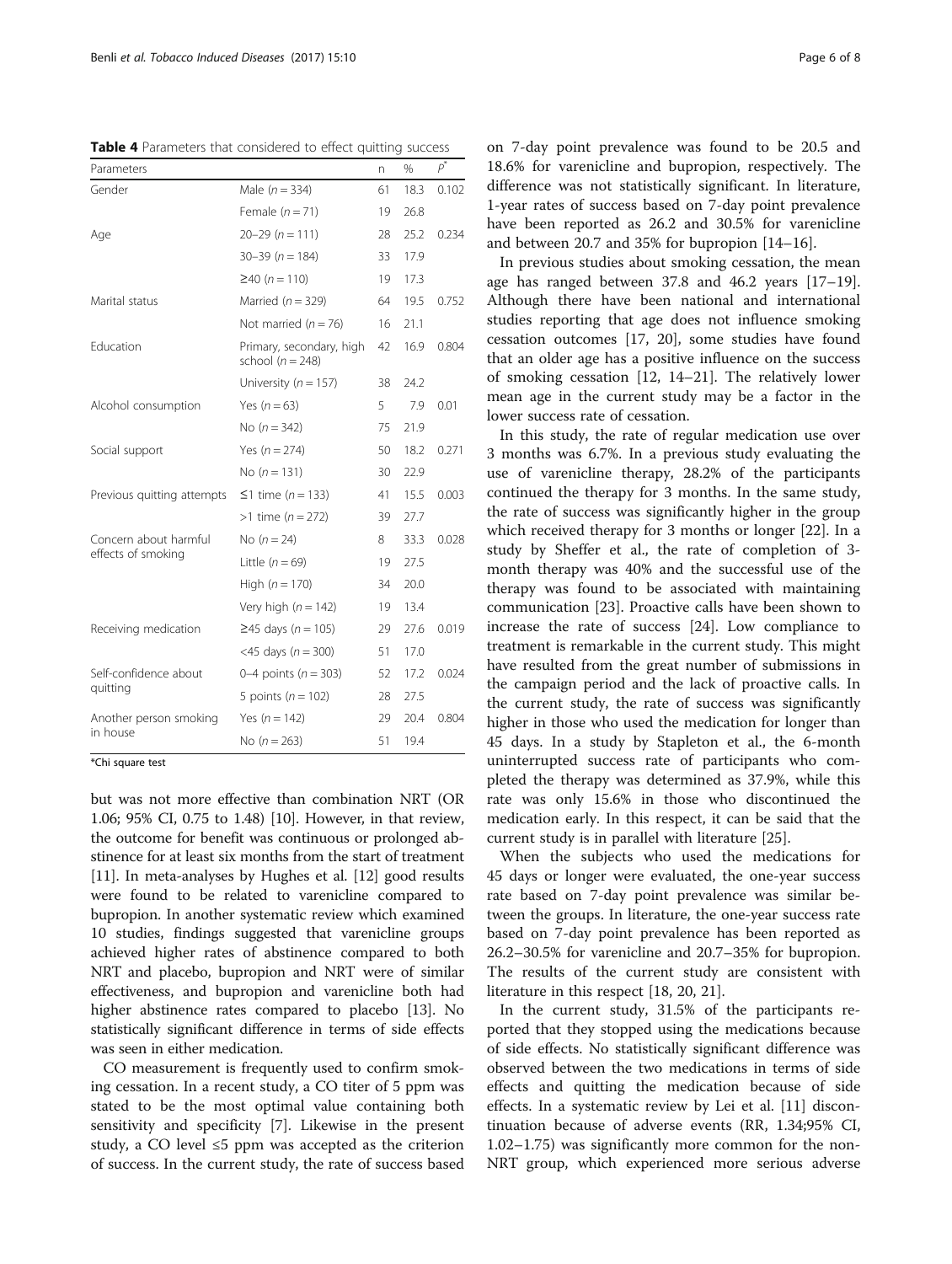<span id="page-5-0"></span>Table 4 Parameters that considered to effect quitting success

| Parameters                        |                                                  | n  | $\%$          | $p^*$ |  |
|-----------------------------------|--------------------------------------------------|----|---------------|-------|--|
| Gender                            | Male $(n = 334)$                                 | 61 | 18.3<br>0.102 |       |  |
|                                   | Female $(n = 71)$                                | 19 | 26.8          |       |  |
| Age                               | $20 - 29$ (n = 111)                              | 28 | 25.2          | 0.234 |  |
|                                   | $30 - 39$ ( $n = 184$ )                          | 33 | 17.9          |       |  |
|                                   | $\geq$ 40 ( <i>n</i> = 110)                      | 19 | 17.3          |       |  |
| Marital status                    | Married ( $n = 329$ )                            | 64 | 19.5          | 0.752 |  |
|                                   | Not married $(n = 76)$                           | 16 | 21.1          |       |  |
| Education                         | Primary, secondary, high<br>school ( $n = 248$ ) | 42 | 16.9          | 0.804 |  |
|                                   | University ( $n = 157$ )                         | 38 | 24.2          |       |  |
| Alcohol consumption               | Yes $(n = 63)$                                   | 5  | 7.9           | 0.01  |  |
|                                   | No $(n = 342)$                                   | 75 | 21.9          |       |  |
| Social support                    | Yes $(n = 274)$                                  | 50 | 18.2          | 0.271 |  |
|                                   | No $(n = 131)$                                   | 30 | 22.9          |       |  |
| Previous quitting attempts        | ≤1 time ( $n = 133$ )                            | 41 | 15.5          | 0.003 |  |
|                                   | >1 time $(n = 272)$                              | 39 | 27.7          |       |  |
| Concern about harmful             | No $(n = 24)$                                    | 8  | 33.3          | 0.028 |  |
| effects of smoking                | Little $(n = 69)$                                | 19 | 27.5          |       |  |
|                                   | High $(n = 170)$                                 | 34 | 20.0          |       |  |
|                                   | Very high $(n = 142)$                            | 19 | 13.4          |       |  |
| Receiving medication              | $≥45$ days ( <i>n</i> = 105)                     | 29 | 27.6          | 0.019 |  |
|                                   | <45 days ( $n = 300$ )                           | 51 | 17.0          |       |  |
| Self-confidence about<br>quitting | 0–4 points ( $n = 303$ )                         | 52 | 17.2          | 0.024 |  |
|                                   | 5 points ( $n = 102$ )                           | 28 | 27.5          |       |  |
| Another person smoking            | Yes $(n = 142)$                                  | 29 | 20.4          | 0.804 |  |
| in house                          | No $(n = 263)$                                   | 51 | 19.4          |       |  |

\*Chi square test

but was not more effective than combination NRT (OR 1.06; 95% CI, 0.75 to 1.48) [\[10](#page-7-0)]. However, in that review, the outcome for benefit was continuous or prolonged abstinence for at least six months from the start of treatment [[11](#page-7-0)]. In meta-analyses by Hughes et al. [\[12\]](#page-7-0) good results were found to be related to varenicline compared to bupropion. In another systematic review which examined 10 studies, findings suggested that varenicline groups achieved higher rates of abstinence compared to both NRT and placebo, bupropion and NRT were of similar effectiveness, and bupropion and varenicline both had higher abstinence rates compared to placebo [[13](#page-7-0)]. No statistically significant difference in terms of side effects was seen in either medication.

CO measurement is frequently used to confirm smoking cessation. In a recent study, a CO titer of 5 ppm was stated to be the most optimal value containing both sensitivity and specificity [\[7](#page-7-0)]. Likewise in the present study, a CO level  $\leq 5$  ppm was accepted as the criterion of success. In the current study, the rate of success based

on 7-day point prevalence was found to be 20.5 and 18.6% for varenicline and bupropion, respectively. The difference was not statistically significant. In literature, 1-year rates of success based on 7-day point prevalence have been reported as 26.2 and 30.5% for varenicline and between 20.7 and 35% for bupropion [\[14](#page-7-0)–[16\]](#page-7-0).

In previous studies about smoking cessation, the mean age has ranged between 37.8 and 46.2 years [[17](#page-7-0)–[19](#page-7-0)]. Although there have been national and international studies reporting that age does not influence smoking cessation outcomes [\[17](#page-7-0), [20](#page-7-0)], some studies have found that an older age has a positive influence on the success of smoking cessation [[12](#page-7-0), [14](#page-7-0)–[21\]](#page-7-0). The relatively lower mean age in the current study may be a factor in the lower success rate of cessation.

In this study, the rate of regular medication use over 3 months was 6.7%. In a previous study evaluating the use of varenicline therapy, 28.2% of the participants continued the therapy for 3 months. In the same study, the rate of success was significantly higher in the group which received therapy for 3 months or longer [[22\]](#page-7-0). In a study by Sheffer et al., the rate of completion of 3 month therapy was 40% and the successful use of the therapy was found to be associated with maintaining communication [\[23](#page-7-0)]. Proactive calls have been shown to increase the rate of success [[24](#page-7-0)]. Low compliance to treatment is remarkable in the current study. This might have resulted from the great number of submissions in the campaign period and the lack of proactive calls. In the current study, the rate of success was significantly higher in those who used the medication for longer than 45 days. In a study by Stapleton et al., the 6-month uninterrupted success rate of participants who completed the therapy was determined as 37.9%, while this rate was only 15.6% in those who discontinued the medication early. In this respect, it can be said that the current study is in parallel with literature [[25\]](#page-7-0).

When the subjects who used the medications for 45 days or longer were evaluated, the one-year success rate based on 7-day point prevalence was similar between the groups. In literature, the one-year success rate based on 7-day point prevalence has been reported as 26.2–30.5% for varenicline and 20.7–35% for bupropion. The results of the current study are consistent with literature in this respect [[18, 20, 21\]](#page-7-0).

In the current study, 31.5% of the participants reported that they stopped using the medications because of side effects. No statistically significant difference was observed between the two medications in terms of side effects and quitting the medication because of side effects. In a systematic review by Lei et al. [[11](#page-7-0)] discontinuation because of adverse events (RR, 1.34;95% CI, 1.02–1.75) was significantly more common for the non-NRT group, which experienced more serious adverse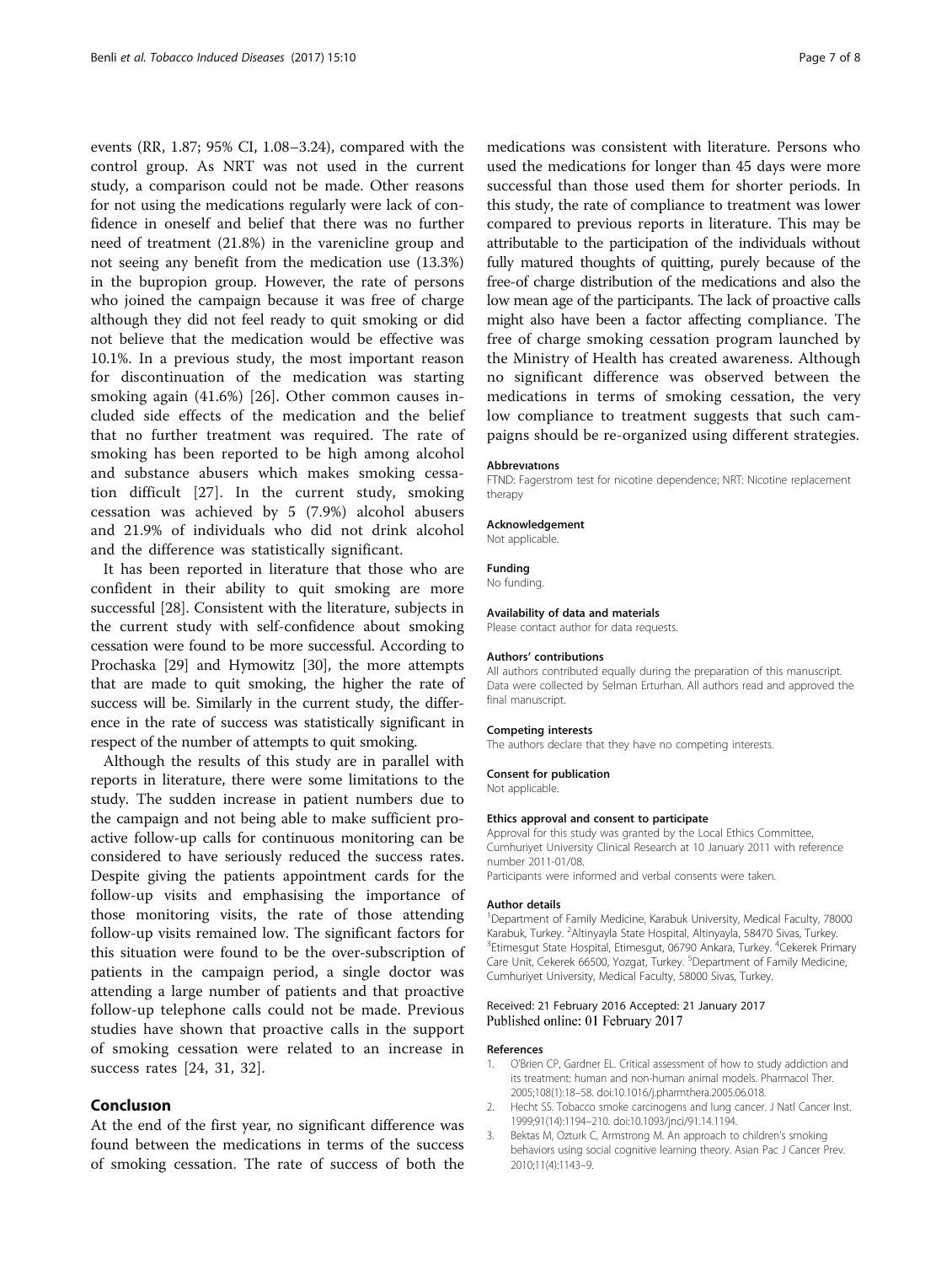<span id="page-6-0"></span>events (RR, 1.87; 95% CI, 1.08–3.24), compared with the control group. As NRT was not used in the current study, a comparison could not be made. Other reasons for not using the medications regularly were lack of confidence in oneself and belief that there was no further need of treatment (21.8%) in the varenicline group and not seeing any benefit from the medication use (13.3%) in the bupropion group. However, the rate of persons who joined the campaign because it was free of charge although they did not feel ready to quit smoking or did not believe that the medication would be effective was 10.1%. In a previous study, the most important reason for discontinuation of the medication was starting smoking again (41.6%) [[26\]](#page-7-0). Other common causes included side effects of the medication and the belief that no further treatment was required. The rate of smoking has been reported to be high among alcohol and substance abusers which makes smoking cessation difficult [\[27](#page-7-0)]. In the current study, smoking cessation was achieved by 5 (7.9%) alcohol abusers and 21.9% of individuals who did not drink alcohol and the difference was statistically significant.

It has been reported in literature that those who are confident in their ability to quit smoking are more successful [\[28](#page-7-0)]. Consistent with the literature, subjects in the current study with self-confidence about smoking cessation were found to be more successful. According to Prochaska [[29](#page-7-0)] and Hymowitz [\[30\]](#page-7-0), the more attempts that are made to quit smoking, the higher the rate of success will be. Similarly in the current study, the difference in the rate of success was statistically significant in respect of the number of attempts to quit smoking.

Although the results of this study are in parallel with reports in literature, there were some limitations to the study. The sudden increase in patient numbers due to the campaign and not being able to make sufficient proactive follow-up calls for continuous monitoring can be considered to have seriously reduced the success rates. Despite giving the patients appointment cards for the follow-up visits and emphasising the importance of those monitoring visits, the rate of those attending follow-up visits remained low. The significant factors for this situation were found to be the over-subscription of patients in the campaign period, a single doctor was attending a large number of patients and that proactive follow-up telephone calls could not be made. Previous studies have shown that proactive calls in the support of smoking cessation were related to an increase in success rates [\[24](#page-7-0), [31](#page-7-0), [32](#page-7-0)].

## Conclusıon

At the end of the first year, no significant difference was found between the medications in terms of the success of smoking cessation. The rate of success of both the

medications was consistent with literature. Persons who used the medications for longer than 45 days were more successful than those used them for shorter periods. In this study, the rate of compliance to treatment was lower compared to previous reports in literature. This may be attributable to the participation of the individuals without fully matured thoughts of quitting, purely because of the free-of charge distribution of the medications and also the low mean age of the participants. The lack of proactive calls might also have been a factor affecting compliance. The free of charge smoking cessation program launched by the Ministry of Health has created awareness. Although no significant difference was observed between the medications in terms of smoking cessation, the very low compliance to treatment suggests that such campaigns should be re-organized using different strategies.

#### Abbrevıatıons

FTND: Fagerstrom test for nicotine dependence; NRT: Nicotine replacement therapy

#### Acknowledgement

Not applicable.

#### Funding

No funding.

#### Availability of data and materials

Please contact author for data requests.

#### Authors' contributions

All authors contributed equally during the preparation of this manuscript. Data were collected by Selman Erturhan. All authors read and approved the final manuscript.

#### Competing interests

The authors declare that they have no competing interests.

#### Consent for publication

Not applicable.

#### Ethics approval and consent to participate

Approval for this study was granted by the Local Ethics Committee, Cumhuriyet University Clinical Research at 10 January 2011 with reference number 2011-01/08.

Participants were informed and verbal consents were taken.

#### Author details

<sup>1</sup>Department of Family Medicine, Karabuk University, Medical Faculty, 78000 Karabuk, Turkey. <sup>2</sup> Altinyayla State Hospital, Altinyayla, 58470 Sivas, Turkey.<br><sup>3</sup> Etimescust State Hospital, Etimescust, 06790 Ankara, Turkey. <sup>4</sup> Cekerek Prin Etimesgut State Hospital, Etimesgut, 06790 Ankara, Turkey. <sup>4</sup>Cekerek Primary Care Unit, Cekerek 66500, Yozgat, Turkey. <sup>5</sup>Department of Family Medicine, Cumhuriyet University, Medical Faculty, 58000 Sivas, Turkey.

## Received: 21 February 2016 Accepted: 21 January 2017 Published online: 01 February 2017

#### References

- 1. O'Brien CP, Gardner EL. Critical assessment of how to study addiction and its treatment: human and non-human animal models. Pharmacol Ther. 2005;108(1):18–58. doi:[10.1016/j.pharmthera.2005.06.018](http://dx.doi.org/10.1016/j.pharmthera.2005.06.018).
- 2. Hecht SS. Tobacco smoke carcinogens and lung cancer. J Natl Cancer Inst. 1999;91(14):1194–210. doi[:10.1093/jnci/91.14.1194](http://dx.doi.org/10.1093/jnci/91.14.1194).
- 3. Bektas M, Ozturk C, Armstrong M. An approach to children's smoking behaviors using social cognitive learning theory. Asian Pac J Cancer Prev. 2010;11(4):1143–9.